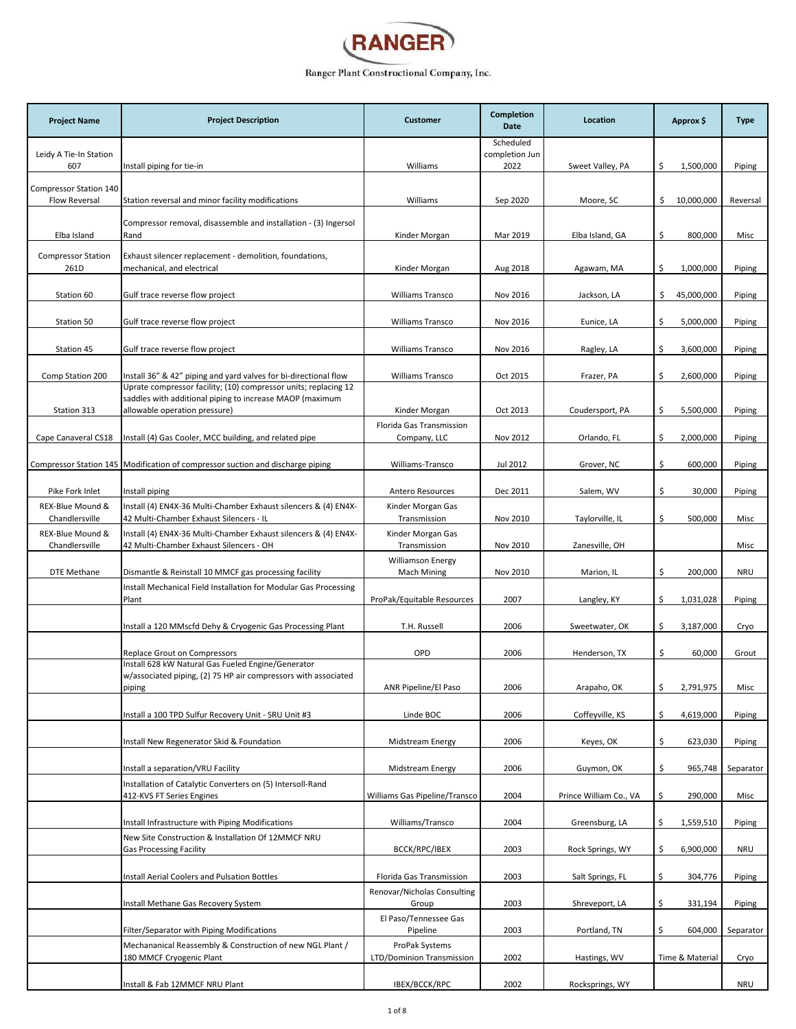

| <b>Project Name</b>                | <b>Project Description</b>                                                                                 | <b>Customer</b>                                         | Completion<br>Date          | Location               | Approx \$        | <b>Type</b> |
|------------------------------------|------------------------------------------------------------------------------------------------------------|---------------------------------------------------------|-----------------------------|------------------------|------------------|-------------|
| Leidy A Tie-In Station             |                                                                                                            |                                                         | Scheduled<br>completion Jun |                        |                  |             |
| 607                                | Install piping for tie-in                                                                                  | Williams                                                | 2022                        | Sweet Valley, PA       | Ŝ.<br>1,500,000  | Piping      |
| Compressor Station 140             |                                                                                                            |                                                         |                             |                        |                  |             |
| <b>Flow Reversal</b>               | Station reversal and minor facility modifications                                                          | Williams                                                | Sep 2020                    | Moore, SC              | \$<br>10,000,000 | Reversal    |
|                                    | Compressor removal, disassemble and installation - (3) Ingersol                                            |                                                         |                             |                        |                  |             |
| Elba Island                        | Rand                                                                                                       | Kinder Morgan                                           | Mar 2019                    | Elba Island, GA        | \$<br>800,000    | Misc        |
| <b>Compressor Station</b>          | Exhaust silencer replacement - demolition, foundations,                                                    |                                                         |                             |                        |                  |             |
| 261D                               | mechanical, and electrical                                                                                 | Kinder Morgan                                           | Aug 2018                    | Agawam, MA             | \$<br>1,000,000  | Piping      |
| Station 60                         | Gulf trace reverse flow project                                                                            | Williams Transco                                        | Nov 2016                    | Jackson, LA            | \$<br>45,000,000 | Piping      |
|                                    |                                                                                                            |                                                         |                             |                        | \$               |             |
| Station 50                         | Gulf trace reverse flow project                                                                            | Williams Transco                                        | Nov 2016                    | Eunice, LA             | 5,000,000        | Piping      |
| Station 45                         | Gulf trace reverse flow project                                                                            | <b>Williams Transco</b>                                 | Nov 2016                    | Ragley, LA             | Ś.<br>3,600,000  | Piping      |
| Comp Station 200                   | Install 36" & 42" piping and yard valves for bi-directional flow                                           | <b>Williams Transco</b>                                 | Oct 2015                    | Frazer, PA             | 2,600,000<br>\$  | Piping      |
|                                    | Uprate compressor facility; (10) compressor units; replacing 12                                            |                                                         |                             |                        |                  |             |
| Station 313                        | saddles with additional piping to increase MAOP (maximum<br>allowable operation pressure)                  | Kinder Morgan                                           | Oct 2013                    | Coudersport, PA        | \$<br>5,500,000  | Piping      |
|                                    |                                                                                                            | Florida Gas Transmission                                |                             |                        |                  |             |
| Cape Canaveral CS18                | Install (4) Gas Cooler, MCC building, and related pipe                                                     | Company, LLC                                            | Nov 2012                    | Orlando, FL            | \$<br>2,000,000  | Piping      |
|                                    | Compressor Station 145   Modification of compressor suction and discharge piping                           | Williams-Transco                                        | Jul 2012                    | Grover, NC             | \$<br>600,000    | Piping      |
|                                    |                                                                                                            |                                                         |                             |                        |                  |             |
| Pike Fork Inlet                    | Install piping                                                                                             | Antero Resources                                        | Dec 2011                    | Salem, WV              | \$<br>30,000     | Piping      |
| REX-Blue Mound &<br>Chandlersville | Install (4) EN4X-36 Multi-Chamber Exhaust silencers & (4) EN4X-<br>42 Multi-Chamber Exhaust Silencers - IL | Kinder Morgan Gas<br>Transmission                       | Nov 2010                    | Taylorville, IL        | \$<br>500,000    | Misc        |
| REX-Blue Mound &                   | Install (4) EN4X-36 Multi-Chamber Exhaust silencers & (4) EN4X-                                            | Kinder Morgan Gas                                       |                             |                        |                  |             |
| Chandlersville                     | 42 Multi-Chamber Exhaust Silencers - OH                                                                    | Transmission                                            | Nov 2010                    | Zanesville, OH         |                  | Misc        |
| DTE Methane                        | Dismantle & Reinstall 10 MMCF gas processing facility                                                      | <b>Williamson Energy</b><br><b>Mach Mining</b>          | Nov 2010                    | Marion, IL             | \$<br>200,000    | <b>NRU</b>  |
|                                    | Install Mechanical Field Installation for Modular Gas Processing                                           |                                                         |                             |                        |                  |             |
|                                    | Plant                                                                                                      | ProPak/Equitable Resources                              | 2007                        | Langley, KY            | \$<br>1,031,028  | Piping      |
|                                    | Install a 120 MMscfd Dehy & Cryogenic Gas Processing Plant                                                 | T.H. Russell                                            | 2006                        | Sweetwater, OK         | \$<br>3,187,000  | Cryo        |
|                                    |                                                                                                            |                                                         |                             |                        |                  |             |
|                                    | Replace Grout on Compressors<br>Install 628 kW Natural Gas Fueled Engine/Generator                         | OPD                                                     | 2006                        | Henderson, TX          | \$<br>60,000     | Grout       |
|                                    | w/associated piping, (2) 75 HP air compressors with associated                                             | ANR Pipeline/El Paso                                    | 2006                        |                        | Ş                | Misc        |
|                                    | piping                                                                                                     |                                                         |                             | Arapaho, OK            | 2,791,975        |             |
|                                    | Install a 100 TPD Sulfur Recovery Unit - SRU Unit #3                                                       | Linde BOC                                               | 2006                        | Coffeyville, KS        | \$<br>4,619,000  | Piping      |
|                                    | Install New Regenerator Skid & Foundation                                                                  | Midstream Energy                                        | 2006                        | Keyes, OK              | \$<br>623,030    | Piping      |
|                                    |                                                                                                            |                                                         |                             |                        |                  |             |
|                                    | Install a separation/VRU Facility                                                                          | Midstream Energy                                        | 2006                        | Guymon, OK             | \$<br>965,748    | Separator   |
|                                    | Installation of Catalytic Converters on (5) Intersoll-Rand<br>412-KVS FT Series Engines                    | Williams Gas Pipeline/Transco                           | 2004                        | Prince William Co., VA | \$<br>290,000    | Misc        |
|                                    |                                                                                                            |                                                         |                             |                        |                  |             |
|                                    | Install Infrastructure with Piping Modifications                                                           | Williams/Transco                                        | 2004                        | Greensburg, LA         | \$<br>1,559,510  | Piping      |
|                                    | New Site Construction & Installation Of 12MMCF NRU<br><b>Gas Processing Facility</b>                       | BCCK/RPC/IBEX                                           | 2003                        | Rock Springs, WY       | 6,900,000<br>\$  | <b>NRU</b>  |
|                                    |                                                                                                            |                                                         |                             |                        |                  |             |
|                                    | Install Aerial Coolers and Pulsation Bottles                                                               | Florida Gas Transmission<br>Renovar/Nicholas Consulting | 2003                        | Salt Springs, FL       | \$<br>304,776    | Piping      |
|                                    | Install Methane Gas Recovery System                                                                        | Group                                                   | 2003                        | Shreveport, LA         | \$<br>331,194    | Piping      |
|                                    |                                                                                                            | El Paso/Tennessee Gas                                   |                             |                        |                  |             |
|                                    | Filter/Separator with Piping Modifications<br>Mechananical Reassembly & Construction of new NGL Plant /    | Pipeline<br>ProPak Systems                              | 2003                        | Portland, TN           | \$<br>604,000    | Separator   |
|                                    | 180 MMCF Cryogenic Plant                                                                                   | LTD/Dominion Transmission                               | 2002                        | Hastings, WV           | Time & Material  | Cryo        |
|                                    |                                                                                                            |                                                         |                             |                        |                  |             |
|                                    | Install & Fab 12MMCF NRU Plant                                                                             | IBEX/BCCK/RPC                                           | 2002                        | Rocksprings, WY        |                  | NRU         |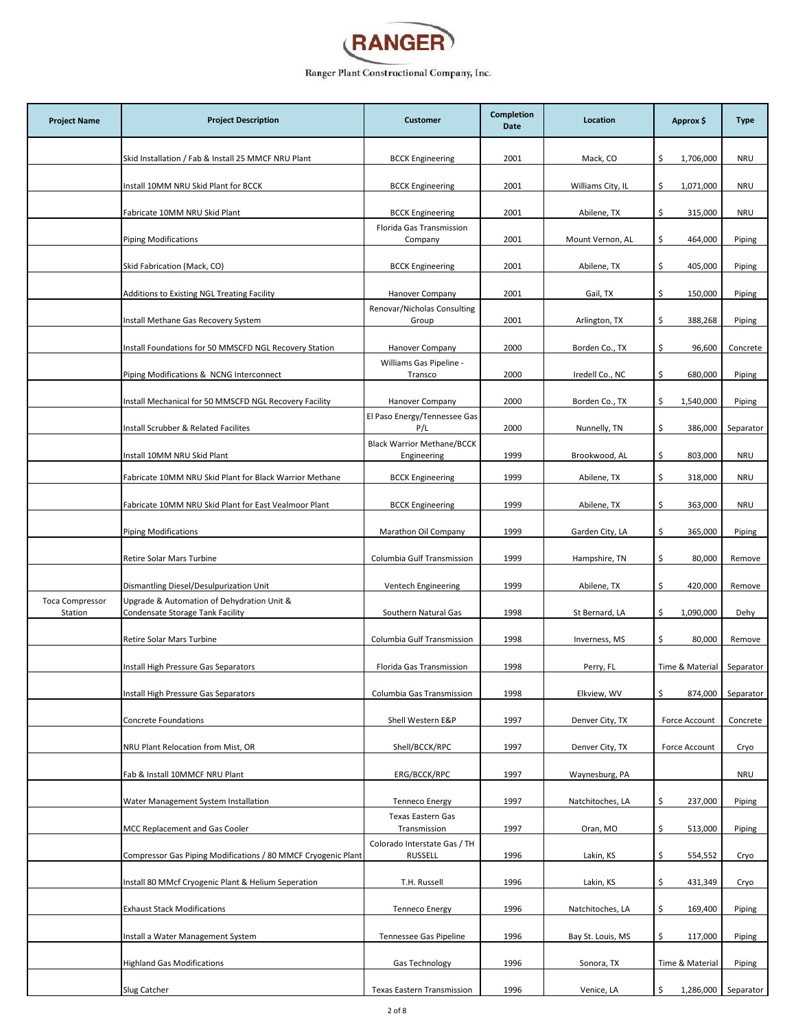

| <b>Project Name</b>    | <b>Project Description</b>                                                            | <b>Customer</b>                                  | Completion<br>Date | Location          | Approx \$        | <b>Type</b>         |
|------------------------|---------------------------------------------------------------------------------------|--------------------------------------------------|--------------------|-------------------|------------------|---------------------|
|                        | Skid Installation / Fab & Install 25 MMCF NRU Plant                                   | <b>BCCK Engineering</b>                          | 2001               | Mack, CO          | \$<br>1,706,000  | <b>NRU</b>          |
|                        | Install 10MM NRU Skid Plant for BCCK                                                  | <b>BCCK Engineering</b>                          | 2001               | Williams City, IL | 1,071,000<br>\$  | <b>NRU</b>          |
|                        | Fabricate 10MM NRU Skid Plant                                                         | <b>BCCK Engineering</b>                          | 2001               | Abilene, TX       | \$<br>315,000    | <b>NRU</b>          |
|                        | <b>Piping Modifications</b>                                                           | Florida Gas Transmission<br>Company              | 2001               | Mount Vernon, AL  | \$<br>464,000    | Piping              |
|                        |                                                                                       |                                                  |                    |                   |                  |                     |
|                        | Skid Fabrication (Mack, CO)                                                           | <b>BCCK Engineering</b>                          | 2001               | Abilene, TX       | \$<br>405,000    | Piping              |
|                        | Additions to Existing NGL Treating Facility                                           | Hanover Company<br>Renovar/Nicholas Consulting   | 2001               | Gail, TX          | \$<br>150,000    | Piping              |
|                        | Install Methane Gas Recovery System                                                   | Group                                            | 2001               | Arlington, TX     | \$<br>388,268    | Piping              |
|                        | Install Foundations for 50 MMSCFD NGL Recovery Station                                | Hanover Company                                  | 2000               | Borden Co., TX    | \$<br>96,600     | Concrete            |
|                        | Piping Modifications & NCNG Interconnect                                              | Williams Gas Pipeline -<br>Transco               | 2000               | Iredell Co., NC   | \$<br>680,000    | Piping              |
|                        | Install Mechanical for 50 MMSCFD NGL Recovery Facility                                | <b>Hanover Company</b>                           | 2000               | Borden Co., TX    | \$<br>1,540,000  | Piping              |
|                        | Install Scrubber & Related Facilites                                                  | El Paso Energy/Tennessee Gas<br>P/L              | 2000               | Nunnelly, TN      | \$<br>386,000    | Separator           |
|                        | Install 10MM NRU Skid Plant                                                           | <b>Black Warrior Methane/BCCK</b><br>Engineering | 1999               | Brookwood, AL     | \$.<br>803,000   | <b>NRU</b>          |
|                        | Fabricate 10MM NRU Skid Plant for Black Warrior Methane                               | <b>BCCK Engineering</b>                          | 1999               | Abilene, TX       | \$<br>318,000    | <b>NRU</b>          |
|                        | Fabricate 10MM NRU Skid Plant for East Vealmoor Plant                                 | <b>BCCK Engineering</b>                          | 1999               | Abilene, TX       | \$<br>363,000    | <b>NRU</b>          |
|                        |                                                                                       |                                                  | 1999               |                   | \$               |                     |
|                        | <b>Piping Modifications</b>                                                           | Marathon Oil Company                             |                    | Garden City, LA   | 365,000          | Piping              |
|                        | Retire Solar Mars Turbine                                                             | Columbia Gulf Transmission                       | 1999               | Hampshire, TN     | \$<br>80,000     | Remove              |
| <b>Toca Compressor</b> | Dismantling Diesel/Desulpurization Unit<br>Upgrade & Automation of Dehydration Unit & | Ventech Engineering                              | 1999               | Abilene, TX       | \$<br>420,000    | Remove              |
| Station                | Condensate Storage Tank Facility                                                      | Southern Natural Gas                             | 1998               | St Bernard, LA    | \$.<br>1,090,000 | Dehy                |
|                        | Retire Solar Mars Turbine                                                             | Columbia Gulf Transmission                       | 1998               | Inverness, MS     | \$<br>80,000     | Remove              |
|                        | Install High Pressure Gas Separators                                                  | Florida Gas Transmission                         | 1998               | Perry, FL         | Time & Material  | Separator           |
|                        | Install High Pressure Gas Separators                                                  | Columbia Gas Transmission                        | 1998               | Elkview, WV       | \$<br>874,000    | Separator           |
|                        | Concrete Foundations                                                                  | Shell Western E&P                                | 1997               | Denver City, TX   | Force Account    | Concrete            |
|                        | NRU Plant Relocation from Mist, OR                                                    | Shell/BCCK/RPC                                   | 1997               | Denver City, TX   | Force Account    | Cryo                |
|                        | Fab & Install 10MMCF NRU Plant                                                        | ERG/BCCK/RPC                                     | 1997               | Waynesburg, PA    |                  | <b>NRU</b>          |
|                        |                                                                                       |                                                  |                    |                   |                  |                     |
|                        | Water Management System Installation                                                  | <b>Tenneco Energy</b><br>Texas Eastern Gas       | 1997               | Natchitoches, LA  | \$<br>237,000    | Piping              |
|                        | MCC Replacement and Gas Cooler                                                        | Transmission<br>Colorado Interstate Gas / TH     | 1997               | Oran, MO          | 513,000<br>\$.   | Piping              |
|                        | Compressor Gas Piping Modifications / 80 MMCF Cryogenic Plant                         | <b>RUSSELL</b>                                   | 1996               | Lakin, KS         | \$<br>554,552    | Cryo                |
|                        | Install 80 MMcf Cryogenic Plant & Helium Seperation                                   | T.H. Russell                                     | 1996               | Lakin, KS         | \$<br>431,349    | Cryo                |
|                        | <b>Exhaust Stack Modifications</b>                                                    | <b>Tenneco Energy</b>                            | 1996               | Natchitoches, LA  | \$<br>169,400    | Piping              |
|                        | Install a Water Management System                                                     | Tennessee Gas Pipeline                           | 1996               | Bay St. Louis, MS | \$<br>117,000    | Piping              |
|                        | <b>Highland Gas Modifications</b>                                                     | Gas Technology                                   | 1996               | Sonora, TX        | Time & Material  | Piping              |
|                        | Slug Catcher                                                                          | Texas Eastern Transmission                       | 1996               | Venice, LA        | \$               | 1,286,000 Separator |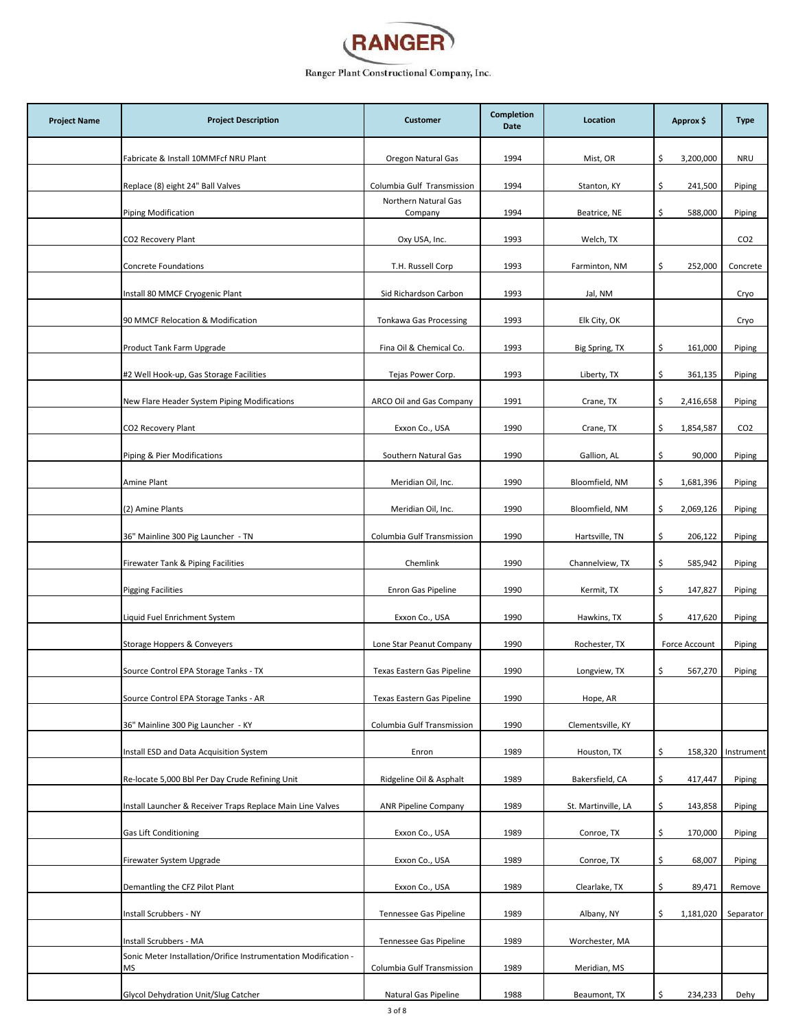

| <b>Project Name</b> | <b>Project Description</b>                                            | <b>Customer</b>                 | <b>Completion</b><br>Date | Location            | Approx \$        | <b>Type</b>     |
|---------------------|-----------------------------------------------------------------------|---------------------------------|---------------------------|---------------------|------------------|-----------------|
|                     | Fabricate & Install 10MMFcf NRU Plant                                 | Oregon Natural Gas              | 1994                      | Mist, OR            | \$.<br>3,200,000 | <b>NRU</b>      |
|                     | Replace (8) eight 24" Ball Valves                                     | Columbia Gulf Transmission      | 1994                      | Stanton, KY         | \$<br>241,500    | Piping          |
|                     | Piping Modification                                                   | Northern Natural Gas<br>Company | 1994                      | Beatrice, NE        | \$<br>588,000    | Piping          |
|                     | CO2 Recovery Plant                                                    | Oxy USA, Inc.                   | 1993                      | Welch, TX           |                  | CO <sub>2</sub> |
|                     | Concrete Foundations                                                  | T.H. Russell Corp               | 1993                      | Farminton, NM       | \$<br>252,000    | Concrete        |
|                     | Install 80 MMCF Cryogenic Plant                                       | Sid Richardson Carbon           | 1993                      | Jal, NM             |                  | Cryo            |
|                     | 90 MMCF Relocation & Modification                                     | <b>Tonkawa Gas Processing</b>   | 1993                      | Elk City, OK        |                  | Cryo            |
|                     | Product Tank Farm Upgrade                                             | Fina Oil & Chemical Co.         | 1993                      | Big Spring, TX      | \$<br>161,000    | Piping          |
|                     | #2 Well Hook-up, Gas Storage Facilities                               | Tejas Power Corp.               | 1993                      | Liberty, TX         | \$<br>361,135    | Piping          |
|                     | New Flare Header System Piping Modifications                          | ARCO Oil and Gas Company        | 1991                      | Crane, TX           | \$<br>2,416,658  | Piping          |
|                     | CO2 Recovery Plant                                                    | Exxon Co., USA                  | 1990                      | Crane, TX           | 1,854,587<br>\$  | CO <sub>2</sub> |
|                     | Piping & Pier Modifications                                           | Southern Natural Gas            | 1990                      | Gallion, AL         | \$<br>90,000     | Piping          |
|                     | Amine Plant                                                           | Meridian Oil, Inc.              | 1990                      | Bloomfield, NM      | \$<br>1,681,396  | Piping          |
|                     | (2) Amine Plants                                                      | Meridian Oil, Inc.              | 1990                      | Bloomfield, NM      | \$<br>2,069,126  | Piping          |
|                     | 36" Mainline 300 Pig Launcher - TN                                    | Columbia Gulf Transmission      | 1990                      | Hartsville, TN      | \$<br>206,122    | Piping          |
|                     | Firewater Tank & Piping Facilities                                    | Chemlink                        | 1990                      | Channelview, TX     | \$.<br>585,942   | Piping          |
|                     | <b>Pigging Facilities</b>                                             | Enron Gas Pipeline              | 1990                      | Kermit, TX          | \$<br>147,827    | Piping          |
|                     | Liquid Fuel Enrichment System                                         | Exxon Co., USA                  | 1990                      | Hawkins, TX         | \$<br>417,620    | Piping          |
|                     | Storage Hoppers & Conveyers                                           | Lone Star Peanut Company        | 1990                      | Rochester, TX       | Force Account    | Piping          |
|                     | Source Control EPA Storage Tanks - TX                                 | Texas Eastern Gas Pipeline      | 1990                      | Longview, TX        | \$<br>567,270    | Piping          |
|                     | Source Control EPA Storage Tanks - AR                                 | Texas Eastern Gas Pipeline      | 1990                      | Hope, AR            |                  |                 |
|                     | 36" Mainline 300 Pig Launcher - KY                                    | Columbia Gulf Transmission      | 1990                      | Clementsville, KY   |                  |                 |
|                     | Install ESD and Data Acquisition System                               | Enron                           | 1989                      | Houston, TX         | \$<br>158,320    | Instrument      |
|                     | Re-locate 5,000 Bbl Per Day Crude Refining Unit                       | Ridgeline Oil & Asphalt         | 1989                      | Bakersfield, CA     | \$.<br>417,447   | Piping          |
|                     | Install Launcher & Receiver Traps Replace Main Line Valves            | <b>ANR Pipeline Company</b>     | 1989                      | St. Martinville, LA | \$.<br>143,858   | Piping          |
|                     | <b>Gas Lift Conditioning</b>                                          | Exxon Co., USA                  | 1989                      | Conroe, TX          | 170,000<br>\$.   | Piping          |
|                     | Firewater System Upgrade                                              | Exxon Co., USA                  | 1989                      | Conroe, TX          | \$<br>68,007     | Piping          |
|                     | Demantling the CFZ Pilot Plant                                        | Exxon Co., USA                  | 1989                      | Clearlake, TX       | \$<br>89,471     | Remove          |
|                     | Install Scrubbers - NY                                                | Tennessee Gas Pipeline          | 1989                      | Albany, NY          | 1,181,020<br>\$  | Separator       |
|                     | Install Scrubbers - MA                                                | Tennessee Gas Pipeline          | 1989                      | Worchester, MA      |                  |                 |
|                     | Sonic Meter Installation/Orifice Instrumentation Modification -<br>ΜS | Columbia Gulf Transmission      | 1989                      | Meridian, MS        |                  |                 |
|                     | Glycol Dehydration Unit/Slug Catcher                                  | Natural Gas Pipeline            | 1988                      | Beaumont, TX        | \$<br>234,233    | Dehy            |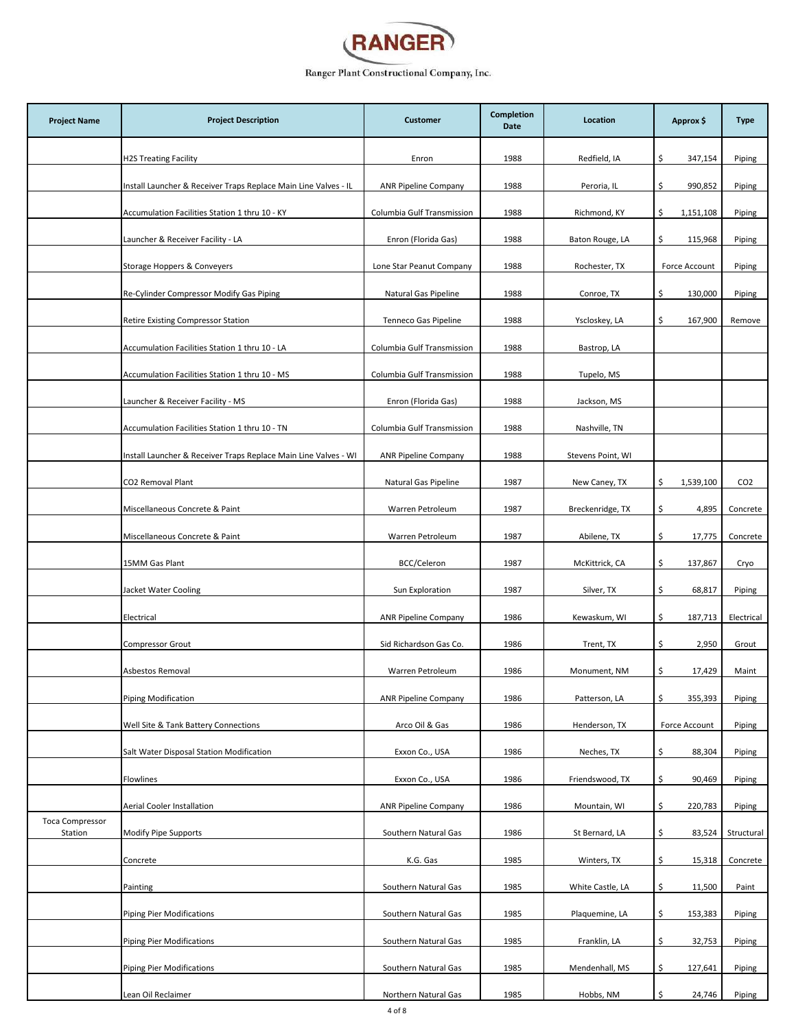

| <b>Project Name</b>               | <b>Project Description</b>                                      | <b>Customer</b>             | <b>Completion</b><br>Date | Location          | Approx \$       | <b>Type</b>     |
|-----------------------------------|-----------------------------------------------------------------|-----------------------------|---------------------------|-------------------|-----------------|-----------------|
|                                   | <b>H2S Treating Facility</b>                                    | Enron                       | 1988                      | Redfield, IA      | \$<br>347,154   | Piping          |
|                                   | Install Launcher & Receiver Traps Replace Main Line Valves - IL | <b>ANR Pipeline Company</b> | 1988                      | Peroria, IL       | \$<br>990,852   | Piping          |
|                                   | Accumulation Facilities Station 1 thru 10 - KY                  | Columbia Gulf Transmission  | 1988                      | Richmond, KY      | \$<br>1,151,108 | Piping          |
|                                   | Launcher & Receiver Facility - LA                               | Enron (Florida Gas)         | 1988                      | Baton Rouge, LA   | \$<br>115,968   | Piping          |
|                                   | Storage Hoppers & Conveyers                                     | Lone Star Peanut Company    | 1988                      | Rochester, TX     | Force Account   | Piping          |
|                                   | Re-Cylinder Compressor Modify Gas Piping                        | Natural Gas Pipeline        | 1988                      | Conroe, TX        | \$<br>130,000   | Piping          |
|                                   | Retire Existing Compressor Station                              | Tenneco Gas Pipeline        | 1988                      | Yscloskey, LA     | \$<br>167,900   | Remove          |
|                                   | Accumulation Facilities Station 1 thru 10 - LA                  | Columbia Gulf Transmission  | 1988                      | Bastrop, LA       |                 |                 |
|                                   | Accumulation Facilities Station 1 thru 10 - MS                  | Columbia Gulf Transmission  | 1988                      | Tupelo, MS        |                 |                 |
|                                   | Launcher & Receiver Facility - MS                               | Enron (Florida Gas)         | 1988                      | Jackson, MS       |                 |                 |
|                                   | Accumulation Facilities Station 1 thru 10 - TN                  | Columbia Gulf Transmission  | 1988                      | Nashville, TN     |                 |                 |
|                                   | Install Launcher & Receiver Traps Replace Main Line Valves - WI | <b>ANR Pipeline Company</b> | 1988                      | Stevens Point, WI |                 |                 |
|                                   | CO2 Removal Plant                                               | Natural Gas Pipeline        | 1987                      | New Caney, TX     | \$<br>1,539,100 | CO <sub>2</sub> |
|                                   | Miscellaneous Concrete & Paint                                  | Warren Petroleum            | 1987                      | Breckenridge, TX  | \$<br>4,895     | Concrete        |
|                                   | Miscellaneous Concrete & Paint                                  | Warren Petroleum            | 1987                      | Abilene, TX       | \$<br>17,775    | Concrete        |
|                                   | 15MM Gas Plant                                                  | BCC/Celeron                 | 1987                      | McKittrick, CA    | \$<br>137,867   | Cryo            |
|                                   | Jacket Water Cooling                                            | Sun Exploration             | 1987                      | Silver, TX        | \$<br>68,817    | Piping          |
|                                   | Electrical                                                      | <b>ANR Pipeline Company</b> | 1986                      | Kewaskum, WI      | \$<br>187,713   | Electrical      |
|                                   | Compressor Grout                                                | Sid Richardson Gas Co.      | 1986                      | Trent, TX         | \$<br>2,950     | Grout           |
|                                   | Asbestos Removal                                                | Warren Petroleum            | 1986                      | Monument, NM      | \$<br>17,429    | Maint           |
|                                   | <b>Piping Modification</b>                                      | <b>ANR Pipeline Company</b> | 1986                      | Patterson, LA     | \$<br>355,393   | Piping          |
|                                   | Well Site & Tank Battery Connections                            | Arco Oil & Gas              | 1986                      | Henderson, TX     | Force Account   | Piping          |
|                                   | Salt Water Disposal Station Modification                        | Exxon Co., USA              | 1986                      | Neches, TX        | \$<br>88,304    | Piping          |
|                                   | Flowlines                                                       | Exxon Co., USA              | 1986                      | Friendswood, TX   | \$<br>90,469    | Piping          |
|                                   | Aerial Cooler Installation                                      | <b>ANR Pipeline Company</b> | 1986                      | Mountain, WI      | \$<br>220,783   | Piping          |
| <b>Toca Compressor</b><br>Station | Modify Pipe Supports                                            | Southern Natural Gas        | 1986                      | St Bernard, LA    | \$<br>83,524    | Structural      |
|                                   | Concrete                                                        | K.G. Gas                    | 1985                      | Winters, TX       | \$<br>15,318    | Concrete        |
|                                   | Painting                                                        | Southern Natural Gas        | 1985                      | White Castle, LA  | \$<br>11,500    | Paint           |
|                                   | <b>Piping Pier Modifications</b>                                | Southern Natural Gas        | 1985                      | Plaquemine, LA    | \$<br>153,383   | Piping          |
|                                   | <b>Piping Pier Modifications</b>                                | Southern Natural Gas        | 1985                      | Franklin, LA      | \$<br>32,753    | Piping          |
|                                   | <b>Piping Pier Modifications</b>                                | Southern Natural Gas        | 1985                      | Mendenhall, MS    | \$<br>127,641   | Piping          |
|                                   | Lean Oil Reclaimer                                              | Northern Natural Gas        | 1985                      | Hobbs, NM         | \$<br>24,746    | Piping          |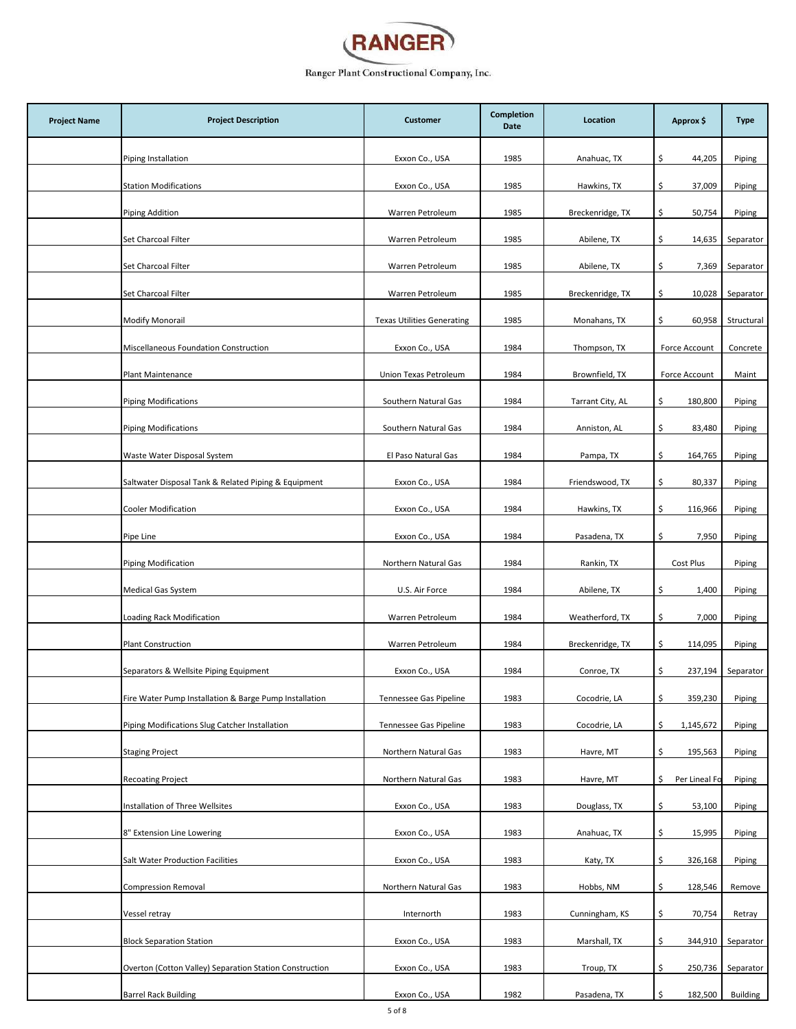

| <b>Project Name</b> | <b>Project Description</b>                              | <b>Customer</b>                   | <b>Completion</b><br>Date | Location         | Approx \$            | <b>Type</b>     |
|---------------------|---------------------------------------------------------|-----------------------------------|---------------------------|------------------|----------------------|-----------------|
|                     | Piping Installation                                     | Exxon Co., USA                    | 1985                      | Anahuac, TX      | 44,205<br>\$.        | Piping          |
|                     | <b>Station Modifications</b>                            | Exxon Co., USA                    | 1985                      | Hawkins, TX      | \$<br>37,009         | Piping          |
|                     | Piping Addition                                         | Warren Petroleum                  | 1985                      | Breckenridge, TX | \$<br>50,754         | Piping          |
|                     | Set Charcoal Filter                                     | Warren Petroleum                  | 1985                      | Abilene, TX      | \$.<br>14,635        | Separator       |
|                     | Set Charcoal Filter                                     | Warren Petroleum                  | 1985                      | Abilene, TX      | \$.<br>7,369         | Separator       |
|                     | Set Charcoal Filter                                     | Warren Petroleum                  | 1985                      | Breckenridge, TX | \$<br>10,028         | Separator       |
|                     | <b>Modify Monorail</b>                                  | <b>Texas Utilities Generating</b> | 1985                      | Monahans, TX     | \$.<br>60,958        | Structural      |
|                     | Miscellaneous Foundation Construction                   | Exxon Co., USA                    | 1984                      | Thompson, TX     | Force Account        | Concrete        |
|                     | Plant Maintenance                                       | Union Texas Petroleum             | 1984                      | Brownfield, TX   | Force Account        | Maint           |
|                     | <b>Piping Modifications</b>                             | Southern Natural Gas              | 1984                      | Tarrant City, AL | \$<br>180,800        | Piping          |
|                     | <b>Piping Modifications</b>                             | Southern Natural Gas              | 1984                      | Anniston, AL     | \$<br>83,480         | Piping          |
|                     | Waste Water Disposal System                             | El Paso Natural Gas               | 1984                      | Pampa, TX        | \$.<br>164,765       | Piping          |
|                     | Saltwater Disposal Tank & Related Piping & Equipment    | Exxon Co., USA                    | 1984                      | Friendswood, TX  | \$<br>80,337         | Piping          |
|                     | <b>Cooler Modification</b>                              | Exxon Co., USA                    | 1984                      | Hawkins, TX      | \$<br>116,966        | Piping          |
|                     | Pipe Line                                               | Exxon Co., USA                    | 1984                      | Pasadena, TX     | \$.<br>7,950         | Piping          |
|                     | <b>Piping Modification</b>                              | Northern Natural Gas              | 1984                      | Rankin, TX       | Cost Plus            | Piping          |
|                     | Medical Gas System                                      | U.S. Air Force                    | 1984                      | Abilene, TX      | \$.<br>1,400         | Piping          |
|                     | Loading Rack Modification                               | Warren Petroleum                  | 1984                      | Weatherford, TX  | \$<br>7,000          | Piping          |
|                     | <b>Plant Construction</b>                               | Warren Petroleum                  | 1984                      | Breckenridge, TX | \$<br>114,095        | Piping          |
|                     | Separators & Wellsite Piping Equipment                  | Exxon Co., USA                    | 1984                      | Conroe, TX       | \$.<br>237,194       | Separator       |
|                     | Fire Water Pump Installation & Barge Pump Installation  | Tennessee Gas Pipeline            | 1983                      | Cocodrie, LA     | \$<br>359,230        | Piping          |
|                     | Piping Modifications Slug Catcher Installation          | Tennessee Gas Pipeline            | 1983                      | Cocodrie, LA     | 1,145,672<br>\$      | Piping          |
|                     | <b>Staging Project</b>                                  | Northern Natural Gas              | 1983                      | Havre, MT        | \$<br>195,563        | Piping          |
|                     | <b>Recoating Project</b>                                | Northern Natural Gas              | 1983                      | Havre, MT        | Per Lineal Fc<br>\$. | Piping          |
|                     | Installation of Three Wellsites                         | Exxon Co., USA                    | 1983                      | Douglass, TX     | \$<br>53,100         | Piping          |
|                     | 8" Extension Line Lowering                              | Exxon Co., USA                    | 1983                      | Anahuac, TX      | \$<br>15,995         | Piping          |
|                     | Salt Water Production Facilities                        | Exxon Co., USA                    | 1983                      | Katy, TX         | \$<br>326,168        | Piping          |
|                     | <b>Compression Removal</b>                              | Northern Natural Gas              | 1983                      | Hobbs, NM        | \$.<br>128,546       | Remove          |
|                     | Vessel retray                                           | Internorth                        | 1983                      | Cunningham, KS   | \$.<br>70,754        | Retray          |
|                     | <b>Block Separation Station</b>                         | Exxon Co., USA                    | 1983                      | Marshall, TX     | \$<br>344,910        | Separator       |
|                     | Overton (Cotton Valley) Separation Station Construction | Exxon Co., USA                    | 1983                      | Troup, TX        | \$<br>250,736        | Separator       |
|                     | <b>Barrel Rack Building</b>                             | Exxon Co., USA                    | 1982                      | Pasadena, TX     | \$<br>182,500        | <b>Building</b> |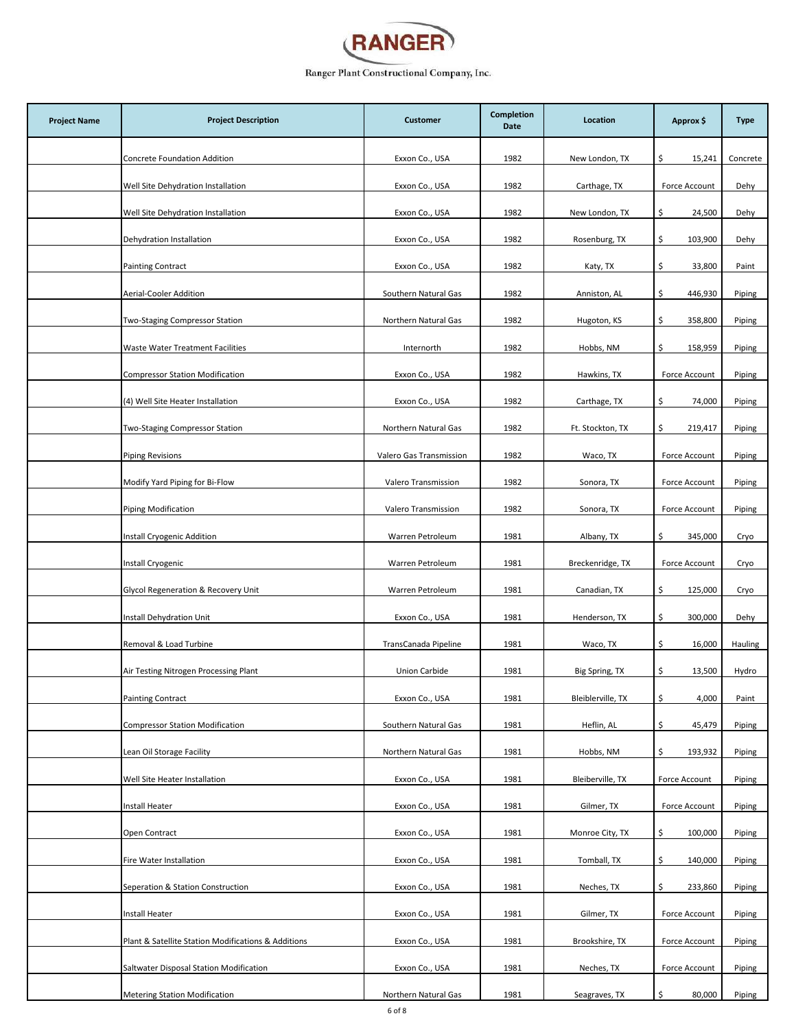

| <b>Project Name</b> | <b>Project Description</b>                          | <b>Customer</b>         | <b>Completion</b><br>Date | Location          | Approx \$      | <b>Type</b> |
|---------------------|-----------------------------------------------------|-------------------------|---------------------------|-------------------|----------------|-------------|
|                     | Concrete Foundation Addition                        | Exxon Co., USA          | 1982                      | New London, TX    | \$.<br>15,241  | Concrete    |
|                     | Well Site Dehydration Installation                  | Exxon Co., USA          | 1982                      | Carthage, TX      | Force Account  | Dehy        |
|                     | Well Site Dehydration Installation                  | Exxon Co., USA          | 1982                      | New London, TX    | \$.<br>24,500  | Dehy        |
|                     | Dehydration Installation                            | Exxon Co., USA          | 1982                      | Rosenburg, TX     | \$.<br>103,900 | Dehy        |
|                     | <b>Painting Contract</b>                            | Exxon Co., USA          | 1982                      | Katy, TX          | \$<br>33,800   | Paint       |
|                     | Aerial-Cooler Addition                              | Southern Natural Gas    | 1982                      | Anniston, AL      | \$<br>446,930  | Piping      |
|                     | Two-Staging Compressor Station                      | Northern Natural Gas    | 1982                      | Hugoton, KS       | \$<br>358,800  | Piping      |
|                     | Waste Water Treatment Facilities                    | Internorth              | 1982                      | Hobbs, NM         | \$.<br>158,959 | Piping      |
|                     | <b>Compressor Station Modification</b>              | Exxon Co., USA          | 1982                      | Hawkins, TX       | Force Account  | Piping      |
|                     | (4) Well Site Heater Installation                   | Exxon Co., USA          | 1982                      | Carthage, TX      | \$<br>74,000   | Piping      |
|                     | Two-Staging Compressor Station                      | Northern Natural Gas    | 1982                      | Ft. Stockton, TX  | \$.<br>219,417 | Piping      |
|                     | <b>Piping Revisions</b>                             | Valero Gas Transmission | 1982                      | Waco, TX          | Force Account  | Piping      |
|                     | Modify Yard Piping for Bi-Flow                      | Valero Transmission     | 1982                      | Sonora, TX        | Force Account  | Piping      |
|                     | <b>Piping Modification</b>                          | Valero Transmission     | 1982                      | Sonora, TX        | Force Account  | Piping      |
|                     | Install Cryogenic Addition                          | Warren Petroleum        | 1981                      | Albany, TX        | \$<br>345,000  | Cryo        |
|                     | Install Cryogenic                                   | Warren Petroleum        | 1981                      | Breckenridge, TX  | Force Account  | Cryo        |
|                     | Glycol Regeneration & Recovery Unit                 | Warren Petroleum        | 1981                      | Canadian, TX      | \$<br>125,000  | Cryo        |
|                     | Install Dehydration Unit                            | Exxon Co., USA          | 1981                      | Henderson, TX     | \$<br>300,000  | Dehy        |
|                     | Removal & Load Turbine                              | TransCanada Pipeline    | 1981                      | Waco, TX          | \$<br>16,000   | Hauling     |
|                     | Air Testing Nitrogen Processing Plant               | Union Carbide           | 1981                      | Big Spring, TX    | \$<br>13,500   | Hydro       |
|                     | <b>Painting Contract</b>                            | Exxon Co., USA          | 1981                      | Bleiblerville, TX | \$<br>4,000    | Paint       |
|                     | <b>Compressor Station Modification</b>              | Southern Natural Gas    | 1981                      | Heflin, AL        | \$<br>45,479   | Piping      |
|                     | Lean Oil Storage Facility                           | Northern Natural Gas    | 1981                      | Hobbs, NM         | \$.<br>193,932 | Piping      |
|                     | Well Site Heater Installation                       | Exxon Co., USA          | 1981                      | Bleiberville, TX  | Force Account  | Piping      |
|                     | Install Heater                                      | Exxon Co., USA          | 1981                      | Gilmer, TX        | Force Account  | Piping      |
|                     | Open Contract                                       | Exxon Co., USA          | 1981                      | Monroe City, TX   | \$<br>100,000  | Piping      |
|                     | Fire Water Installation                             | Exxon Co., USA          | 1981                      | Tomball, TX       | \$<br>140,000  | Piping      |
|                     | Seperation & Station Construction                   | Exxon Co., USA          | 1981                      | Neches, TX        | \$<br>233,860  | Piping      |
|                     | Install Heater                                      | Exxon Co., USA          | 1981                      | Gilmer, TX        | Force Account  | Piping      |
|                     | Plant & Satellite Station Modifications & Additions | Exxon Co., USA          | 1981                      | Brookshire, TX    | Force Account  | Piping      |
|                     | Saltwater Disposal Station Modification             | Exxon Co., USA          | 1981                      | Neches, TX        | Force Account  | Piping      |
|                     | <b>Metering Station Modification</b>                | Northern Natural Gas    | 1981                      | Seagraves, TX     | \$<br>80,000   | Piping      |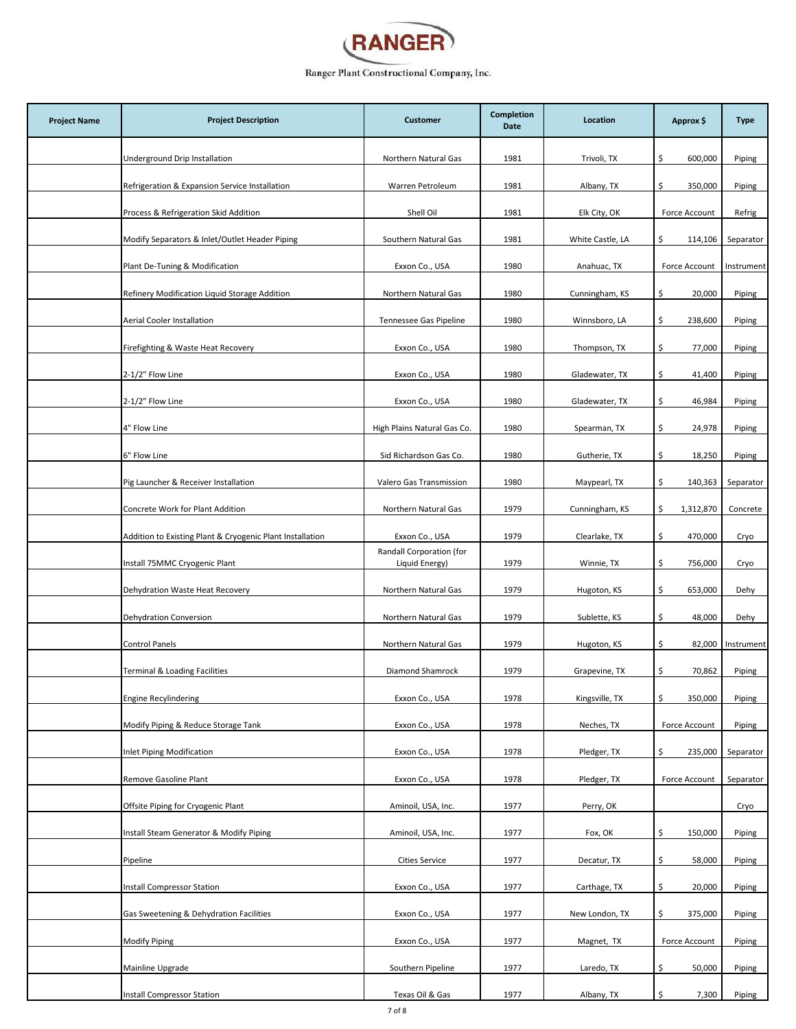

| <b>Project Name</b> | <b>Project Description</b>                                | <b>Customer</b>                            | <b>Completion</b><br>Date | Location         | Approx \$       | <b>Type</b> |
|---------------------|-----------------------------------------------------------|--------------------------------------------|---------------------------|------------------|-----------------|-------------|
|                     | Underground Drip Installation                             | Northern Natural Gas                       | 1981                      | Trivoli, TX      | \$.<br>600,000  | Piping      |
|                     | Refrigeration & Expansion Service Installation            | Warren Petroleum                           | 1981                      | Albany, TX       | 350,000<br>\$.  | Piping      |
|                     | Process & Refrigeration Skid Addition                     | Shell Oil                                  | 1981                      | Elk City, OK     | Force Account   | Refrig      |
|                     | Modify Separators & Inlet/Outlet Header Piping            | Southern Natural Gas                       | 1981                      | White Castle, LA | \$<br>114,106   | Separator   |
|                     | Plant De-Tuning & Modification                            | Exxon Co., USA                             | 1980                      | Anahuac, TX      | Force Account   | Instrument  |
|                     | Refinery Modification Liquid Storage Addition             | Northern Natural Gas                       | 1980                      | Cunningham, KS   | \$<br>20,000    | Piping      |
|                     | Aerial Cooler Installation                                | Tennessee Gas Pipeline                     | 1980                      | Winnsboro, LA    | \$<br>238,600   | Piping      |
|                     | Firefighting & Waste Heat Recovery                        | Exxon Co., USA                             | 1980                      | Thompson, TX     | \$<br>77,000    | Piping      |
|                     | 2-1/2" Flow Line                                          | Exxon Co., USA                             | 1980                      | Gladewater, TX   | \$<br>41,400    | Piping      |
|                     | 2-1/2" Flow Line                                          | Exxon Co., USA                             | 1980                      | Gladewater, TX   | \$<br>46,984    | Piping      |
|                     | 4" Flow Line                                              | High Plains Natural Gas Co.                | 1980                      | Spearman, TX     | \$<br>24,978    | Piping      |
|                     | 6" Flow Line                                              | Sid Richardson Gas Co.                     | 1980                      | Gutherie, TX     | 18,250<br>\$.   | Piping      |
|                     | Pig Launcher & Receiver Installation                      | Valero Gas Transmission                    | 1980                      | Maypearl, TX     | \$<br>140,363   | Separator   |
|                     | Concrete Work for Plant Addition                          | Northern Natural Gas                       | 1979                      | Cunningham, KS   | \$<br>1,312,870 | Concrete    |
|                     | Addition to Existing Plant & Cryogenic Plant Installation | Exxon Co., USA                             | 1979                      | Clearlake, TX    | 470,000<br>\$.  | Cryo        |
|                     | Install 75MMC Cryogenic Plant                             | Randall Corporation (for<br>Liquid Energy) | 1979                      | Winnie, TX       | \$<br>756,000   | Cryo        |
|                     | Dehydration Waste Heat Recovery                           | Northern Natural Gas                       | 1979                      | Hugoton, KS      | \$<br>653,000   | Dehy        |
|                     | Dehydration Conversion                                    | Northern Natural Gas                       | 1979                      | Sublette, KS     | \$<br>48,000    | Dehy        |
|                     | Control Panels                                            | Northern Natural Gas                       | 1979                      | Hugoton, KS      | 82,000<br>\$.   | Instrument  |
|                     | Terminal & Loading Facilities                             | Diamond Shamrock                           | 1979                      | Grapevine, TX    | \$<br>70,862    | Piping      |
|                     | <b>Engine Recylindering</b>                               | Exxon Co., USA                             | 1978                      | Kingsville, TX   | \$<br>350,000   | Piping      |
|                     | Modify Piping & Reduce Storage Tank                       | Exxon Co., USA                             | 1978                      | Neches, TX       | Force Account   | Piping      |
|                     | Inlet Piping Modification                                 | Exxon Co., USA                             | 1978                      | Pledger, TX      | \$<br>235,000   | Separator   |
|                     | Remove Gasoline Plant                                     | Exxon Co., USA                             | 1978                      | Pledger, TX      | Force Account   | Separator   |
|                     | Offsite Piping for Cryogenic Plant                        | Aminoil, USA, Inc.                         | 1977                      | Perry, OK        |                 | Cryo        |
|                     | Install Steam Generator & Modify Piping                   | Aminoil, USA, Inc.                         | 1977                      | Fox, OK          | \$<br>150,000   | Piping      |
|                     | Pipeline                                                  | <b>Cities Service</b>                      | 1977                      | Decatur, TX      | \$<br>58,000    | Piping      |
|                     | Install Compressor Station                                | Exxon Co., USA                             | 1977                      | Carthage, TX     | \$.<br>20,000   | Piping      |
|                     | Gas Sweetening & Dehydration Facilities                   | Exxon Co., USA                             | 1977                      | New London, TX   | \$.<br>375,000  | Piping      |
|                     | <b>Modify Piping</b>                                      | Exxon Co., USA                             | 1977                      | Magnet, TX       | Force Account   | Piping      |
|                     | Mainline Upgrade                                          | Southern Pipeline                          | 1977                      | Laredo, TX       | 50,000<br>\$    | Piping      |
|                     | Install Compressor Station                                | Texas Oil & Gas                            | 1977                      | Albany, TX       | \$<br>7,300     | Piping      |